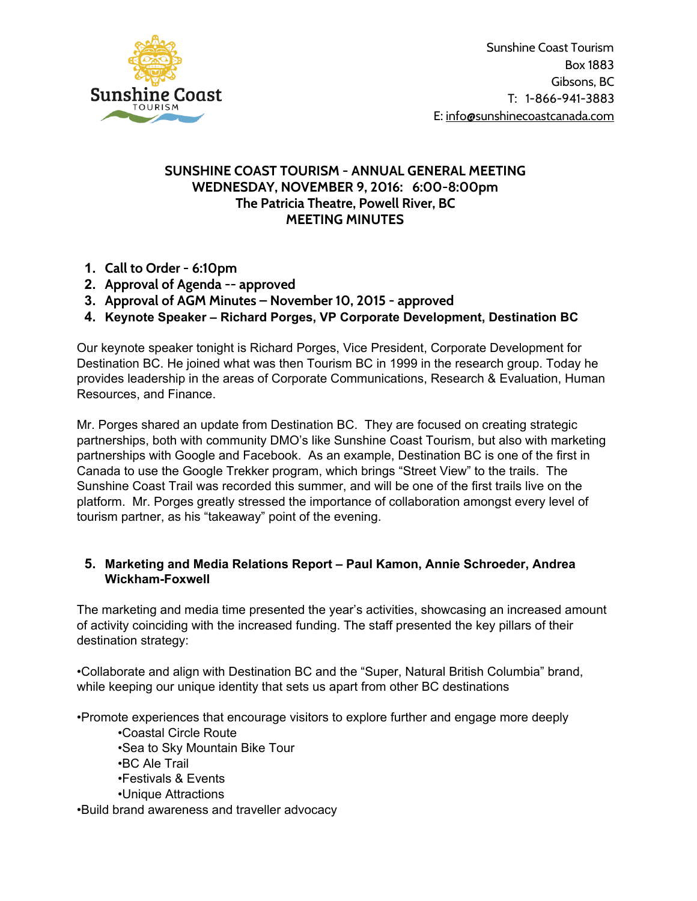

Sunshine Coast Tourism Box 1883 Gibsons, BC T: 1-866-941-3883 E: [info@sunshinecoastcanada.com](mailto:info@sunshinecoastcanada.com)

## **SUNSHINE COAST TOURISM - ANNUAL GENERAL MEETING WEDNESDAY, NOVEMBER 9, 2016: 6:00-8:00pm The Patricia Theatre, Powell River, BC MEETING MINUTES**

- **1. Call to Order - 6:10pm**
- **2. Approval of Agenda -- approved**
- **3. Approval of AGM Minutes – November 10, 2015 - approved**
- **4. Keynote Speaker – Richard Porges, VP Corporate Development, Destination BC**

Our keynote speaker tonight is Richard Porges, Vice President, Corporate Development for Destination BC. He joined what was then Tourism BC in 1999 in the research group. Today he provides leadership in the areas of Corporate Communications, Research & Evaluation, Human Resources, and Finance.

Mr. Porges shared an update from Destination BC. They are focused on creating strategic partnerships, both with community DMO's like Sunshine Coast Tourism, but also with marketing partnerships with Google and Facebook. As an example, Destination BC is one of the first in Canada to use the Google Trekker program, which brings "Street View" to the trails. The Sunshine Coast Trail was recorded this summer, and will be one of the first trails live on the platform. Mr. Porges greatly stressed the importance of collaboration amongst every level of tourism partner, as his "takeaway" point of the evening.

## **5. Marketing and Media Relations Report – Paul Kamon, Annie Schroeder, Andrea Wickham-Foxwell**

The marketing and media time presented the year's activities, showcasing an increased amount of activity coinciding with the increased funding. The staff presented the key pillars of their destination strategy:

•Collaborate and align with Destination BC and the "Super, Natural British Columbia" brand, while keeping our unique identity that sets us apart from other BC destinations

•Promote experiences that encourage visitors to explore further and engage more deeply

•Coastal Circle Route •Sea to Sky Mountain Bike Tour •BC Ale Trail •Festivals & Events •Unique Attractions •Build brand awareness and traveller advocacy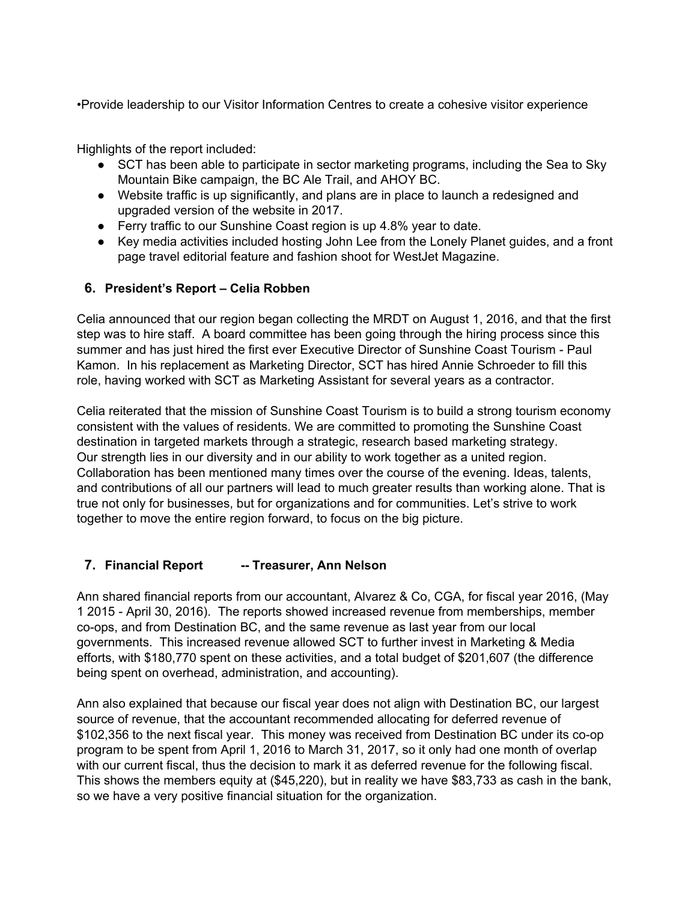•Provide leadership to our Visitor Information Centres to create a cohesive visitor experience

Highlights of the report included:

- SCT has been able to participate in sector marketing programs, including the Sea to Sky Mountain Bike campaign, the BC Ale Trail, and AHOY BC.
- Website traffic is up significantly, and plans are in place to launch a redesigned and upgraded version of the website in 2017.
- Ferry traffic to our Sunshine Coast region is up 4.8% year to date.
- Key media activities included hosting John Lee from the Lonely Planet guides, and a front page travel editorial feature and fashion shoot for WestJet Magazine.

## **6. President's Report – Celia Robben**

Celia announced that our region began collecting the MRDT on August 1, 2016, and that the first step was to hire staff. A board committee has been going through the hiring process since this summer and has just hired the first ever Executive Director of Sunshine Coast Tourism - Paul Kamon. In his replacement as Marketing Director, SCT has hired Annie Schroeder to fill this role, having worked with SCT as Marketing Assistant for several years as a contractor.

Celia reiterated that the mission of Sunshine Coast Tourism is to build a strong tourism economy consistent with the values of residents. We are committed to promoting the Sunshine Coast destination in targeted markets through a strategic, research based marketing strategy. Our strength lies in our diversity and in our ability to work together as a united region. Collaboration has been mentioned many times over the course of the evening. Ideas, talents, and contributions of all our partners will lead to much greater results than working alone. That is true not only for businesses, but for organizations and for communities. Let's strive to work together to move the entire region forward, to focus on the big picture.

# **7. Financial Report -- Treasurer, Ann Nelson**

Ann shared financial reports from our accountant, Alvarez & Co, CGA, for fiscal year 2016, (May 1 2015 - April 30, 2016). The reports showed increased revenue from memberships, member co-ops, and from Destination BC, and the same revenue as last year from our local governments. This increased revenue allowed SCT to further invest in Marketing & Media efforts, with \$180,770 spent on these activities, and a total budget of \$201,607 (the difference being spent on overhead, administration, and accounting).

Ann also explained that because our fiscal year does not align with Destination BC, our largest source of revenue, that the accountant recommended allocating for deferred revenue of \$102,356 to the next fiscal year. This money was received from Destination BC under its co-op program to be spent from April 1, 2016 to March 31, 2017, so it only had one month of overlap with our current fiscal, thus the decision to mark it as deferred revenue for the following fiscal. This shows the members equity at (\$45,220), but in reality we have \$83,733 as cash in the bank, so we have a very positive financial situation for the organization.